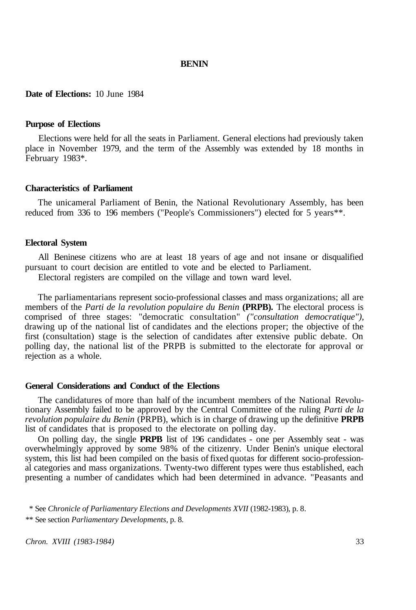# **BENIN**

# **Date of Elections:** 10 June 1984

## **Purpose of Elections**

Elections were held for all the seats in Parliament. General elections had previously taken place in November 1979, and the term of the Assembly was extended by 18 months in February 1983\*.

#### **Characteristics of Parliament**

The unicameral Parliament of Benin, the National Revolutionary Assembly, has been reduced from 336 to 196 members ("People's Commissioners") elected for 5 years\*\*.

# **Electoral System**

All Beninese citizens who are at least 18 years of age and not insane or disqualified pursuant to court decision are entitled to vote and be elected to Parliament.

Electoral registers are compiled on the village and town ward level.

The parliamentarians represent socio-professional classes and mass organizations; all are members of the *Parti de la revolution populaire du Benin* **(PRPB).** The electoral process is comprised of three stages: "democratic consultation" *("consultation democratique"),*  drawing up of the national list of candidates and the elections proper; the objective of the first (consultation) stage is the selection of candidates after extensive public debate. On polling day, the national list of the PRPB is submitted to the electorate for approval or rejection as a whole.

#### **General Considerations and Conduct of the Elections**

The candidatures of more than half of the incumbent members of the National Revolutionary Assembly failed to be approved by the Central Committee of the ruling *Parti de la revolution populaire du Benin* (PRPB), which is in charge of drawing up the definitive **PRPB**  list of candidates that is proposed to the electorate on polling day.

On polling day, the single **PRPB** list of 196 candidates - one per Assembly seat - was overwhelmingly approved by some 98% of the citizenry. Under Benin's unique electoral system, this list had been compiled on the basis of fixed quotas for different socio-professional categories and mass organizations. Twenty-two different types were thus established, each presenting a number of candidates which had been determined in advance. "Peasants and

*Chron. XVIII (1983-1984)* 33

<sup>\*</sup> See *Chronicle of Parliamentary Elections and Developments XVII* (1982-1983), p. 8. \*\* See section *Parliamentary Developments,* p. 8.